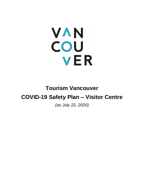# **VAN** COU **VER**

# **Tourism Vancouver COVID-19 Safety Plan – Visitor Centre**

*(as July 22, 2020)*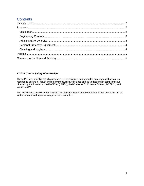# **Contents**

#### *Visitor Centre Safety Plan Review*

These Policies, guidelines and procedures will be reviewed and amended on an annual basis or as required to ensure all health and safety measures are in place and up to date and in compliance as directed by the Provincial Health Officer ("PHO"), the BC Centre for Disease Control ("BCCDC") and *WorkSafeBC*.

The Policies and guidelines for Tourism Vancouver's Visitor Centre contained in this document are the entire versions and replaces any prior documentation.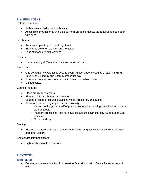# <span id="page-2-0"></span>Existing Risks

Entrance and Exit:

- Both entrances/exits work both ways
- Accessible entrance only available at North Entrance, guests are required to open door with hand

#### Brochures:

- Racks are open to public and high touch
- Brochures are often touched and not taken
- Tear-off maps are high contact

#### Printers:

• shared among all Team Members and workstations

#### Backroom:

- One computer workstation is used to counting cash, due to security of cash handling. Usually only used by one Team Member per day
- Must touch keypad and door handle to open door to backroom
- Limited space

#### Counselling area:

- Close proximity to visitors
- Sharing of iPads, phones, or computers
- Sharing of printed resources, such as maps, brochures, and guides
- Booking/cash handling requires close proximity
	- o Making bookings on behalf of guests may require touching identification or credit card of guests
	- $\circ$  Payment processing do not have contactless payment, only swipe due to Zaui limitations
	- o Cash Handling

#### Seating

• Encourages visitors to stay in space longer, increasing risk contact with Team Member and other visitors

Self-service internet stations

• High touch contact with visitors

### <span id="page-2-1"></span>Protocols

#### <span id="page-2-2"></span>**Elimination**

• Creating a one-way direction from West to East within Visitor Centre for entrance and exit.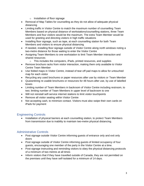- o Installation of floor signage
- Removal of Map Tables for counselling as they do not allow of adequate physical distancing
- Limiting traffic in Visitor Centre to match the maximum number of counselling Team Members based on physical distance of workstations/counselling stations, three Team Members and four visitors would be the maximum. The extra Team Member would be used for greeting and directing visitors in high traffic situations
- Installing floor signage, such as tape, at each counselling station for both Team Members and visitors to ensure physical distancing
- If needed, installing floor signage outside of Visitor Centre along north windows noting a two-metre distance for those waiting to enter the Visitor Centre
- Assigning Team Members to one workstation to limit Team Member interaction and shared resources
	- $\circ$  This includes the computers, iPads, printed resources, and supplies
- Remove brochure racks from visitor interaction, making them only available to Visitor Centre Team Member
- Use folded maps in Visitor Centre, instead of tear-off pad maps to allow for untouched map for each visitor
- Recycling any used brochures or paper resources after use by visitors or Team Member
- Quarantining re-usable brochures or resources for 48 hours after use, by use of labelled boxes
- Limiting number of Team Members in backroom of Visitor Centre including restroom, to two; limiting number of Team Members in upper level of backroom to one
- Will not reinstall self-service internet stations to limit visitor touchpoints
- Remove all visitor seating within Visitor Centre
- Not accepting cash, to minimize contact. Visitors must also swipe their own cards on iPads for payment

#### <span id="page-3-0"></span>Engineering Controls

• Installation of physical barriers at each counselling station, to protect Team Members from transmission due to inability to maintain two-metre physical distancing.

#### <span id="page-3-1"></span>Administrative Controls

- Post signage outside Visitor Centre informing guests of entrance only and exit only doors
- Post signage outside of Visitor Centre informing guests of limited occupancy of four guests, encouraging one member of the party in the Visitor Centre at a time.
- Post signage instructing and reminding visitors to obey the physical distancing protocols of a minimum of two metres at all times
- Inform visitors that if they have travelled outside of Canada, they are not permitted on the premises until they have self-isolated for a minimum of 14 days.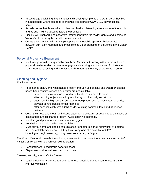- Post signage explaining that if a guest is displaying symptoms of COVID-19 or they live in a household where someone is showing symptoms of COVID-19, they must stay home
- Provide notice that those failing to observe physical distancing risks closure of the facility and as such, will be asked to leave the premises
- Display Wi-Fi network and password information within the Visitor Centre and outside of Visitor Centre limiting the need for visitor interaction
- Create a no contact delivery and pickup area in the public space, to limit contact between our Team Members and those picking up or dropping off deliveries in the Visitor **Centre**

#### <span id="page-4-0"></span>Personal Protective Equipment

• Mask usage would be required by any Team Member interacting with visitors without a physical barrier in which a two-metre physical distancing is not possible. For instance, Team Member directing and interacting with visitors at the entry of the Visitor Centre

#### <span id="page-4-1"></span>Cleaning and Hygiene

Employees must:

- Keep hands clean, and wash hands properly through use of soap and water; or alcoholbased hand sanitizers if soap and water are not available:
	- o before touching eyes, nose, and mouth if there is a need to do so
	- o after handling objects soiled by respiratory or other body secretions
	- o after touching high contact surfaces or equipment, such as escalator handrails, elevator control panels, or door handles
	- o after handling cash/credit/debit cards, touching common items and after each delivery
- Cover their nose and mouth with tissue paper while sneezing or coughing and dispose of nasal and mouth discharge properly. Avoid touching their face.
- Maintain good personal and environmental hygiene
- Not shake hands with colleagues or visitors
- Must stay at home and keep a safe distance from others in their family until symptoms have completely disappeared, if they have symptoms of a cold, flu, or COVID-19, including a cough, sneezing, runny nose, sore throat, or fatigue.

The Visitor Centre will provide the following materials for use by visitors at entrance and exit of Visitor Centre, as well as each counselling station:

- Receptacles for used tissue paper disposal
- Dispensers of alcohol-based hand sanitizers

Cleaning and Hygiene of Visitor Centre:

• Leaving doors to Visitor Centre open whenever possible during hours of operation to improve ventilation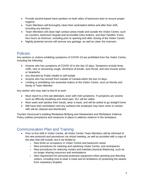- Provide alcohol-based hand sanitizer on both sides of backroom door to ensure proper hygiene
- Team Members will thoroughly clean their workstation before and after their shift, including any barriers
- Team Members will clean high contact areas inside and outside the Visitor Centre, such as counters, backroom keypad and accessible entry buttons, and door handles. Every four hours at minimum, including prior to opening and after closing of the Visitor Centre
- Nightly janitorial service will remove any garbage, as well as clean the restroom.

## <span id="page-5-0"></span>**Policies**

Any workers or visitors exhibiting symptoms of COVID-19 are prohibited from the Visitor Centre, including the following:

- Anyone who has symptoms of COVID-19 in the last 10 days. Symptoms include fever, chills, new or worsening cough, shortness of breath, sore throat, and new muscle aches or headache.
- Any directed by Public Health to self-isolate
- Anyone who has arrived from outside of Canada within the last 14 days.
- Limiting or prohibiting non-essential visitors to the Visitor Centre, such as friends and family of Team Member

Any worker who may start to feel ill at work:

- Must report to a first aid attendant, even with mild symptoms. If symptoms are severe, such as difficulty breathing and chest pain, 911 will be called
- Must wash and sanitize their hands, wear a mask, and will be asked to go straight home
- Will have their workstation and any surfaces the employee may have come in contact with will be cleaned and disinfected

Tourism Vancouver's existing Workplace Bullying and Harassment and Workplace Violence Policy outlines procedures and measures in place to address violence in the workplace.

# <span id="page-5-1"></span>Communication Plan and Training

- Prior to first shift in Visitor Centre, all Visitor Centre Team Members will be informed of the new protocols and procedures via virtual meeting, as well as provided with a copy of the plan that will include, but it not limited to:
	- o New limits on occupancy in Visitor Centre and backroom areas
	- $\circ$  New procedures for cleaning and sanitizing Visitor Centre, and workspaces
	- $\circ$  New procedures for reducing contact and maintain physical distancing, such as no longer sharing resources and workstations
	- $\circ$  New requirement for personal protective equipment when greeting and directing visitors, including how to wear a mask and its limitations on protecting the wearer from respiratory droplets